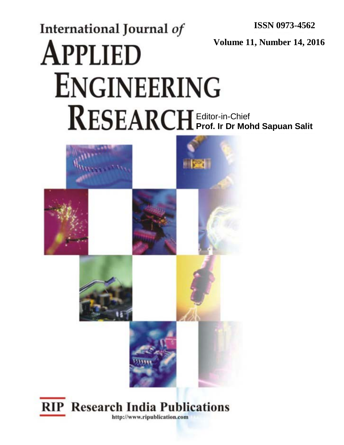**ISSN 0973-4562**

## International Journal of **Volume 11, Number 14, 2016 APPLIED ENGINEERING** Editor-in-Chief **Prof. Ir Dr Mohd Sapuan Salit**





**RIP Research India Publications** 

http://www.ripublication.com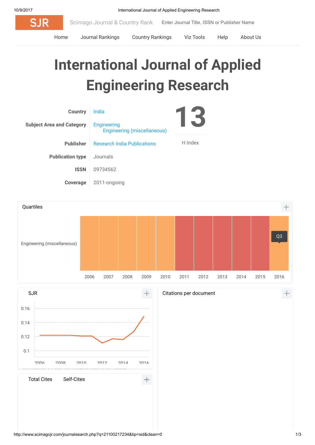10/9/2017 International Journal of Applied Engineering Research

**SJR** [Scimago Journal & Country Rank](http://www.scimagojr.com/)

[Home](http://www.scimagojr.com/index.php) [Journal Rankings](http://www.scimagojr.com/journalrank.php) [Country Rankings](http://www.scimagojr.com/countryrank.php) [Viz Tools](http://www.scimagojr.com/viztools.php) [Help](http://www.scimagojr.com/help.php) [About Us](http://www.scimagojr.com/aboutus.php)

Enter Journal Title, ISSN or Publisher Name

# International Journal of Applied Engineering Research







 $\pm$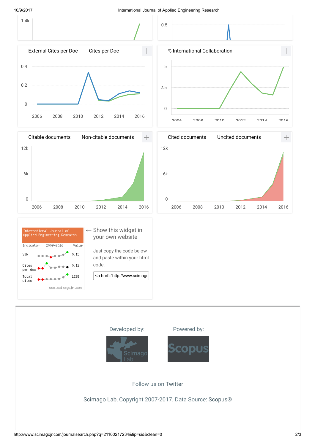



Follow us on [Twitter](http://www.twitter.com/scimago)

[Scimago Lab](http://www.scimagolab.com/), Copyright 2007-2017. Data Source: [Scopus®](http://www.scopus.com/)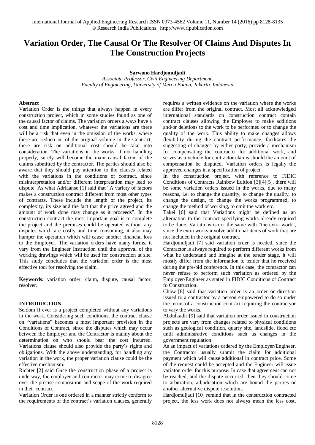### **Variation Order, The Causal Or The Resolver Of Claims And Disputes In The Construction Projects**

#### **Sarwono Hardjomuljadi**

*Associate Professor, Civil Engineering Department, Faculty of Engineering, University of Mercu Buana, Jakarta. Indonesia*

#### **Abstract**

Variation Order is the things that always happen in every construction project, which in some studies found as one of the causal factor of claims. The variation orders always have a cost and time implication, whatever the variations are there will be a risk that even in the omission of the works, where there are reducti on of the original volume in the Contract, there are risk on additional cost should be take into consideration. The variations in the works, if not handling properly, surely will become the main causal factor of the claims submitted by the contractor. The parties should also be aware that they should pay attention to the clauses related with the variations in the conditions of contract, since misinterpretation and/or different interpretation may lead to dispute. As what Adriaanse [1] said that "A variety of factors makes a construction contract different from most other types of contracts. These include the length of the project, its complexity, its size and the fact that the price agreed and the amount of work done may change as it proceeds". In the construction contract the most important goal is to complete the project and the premises could be operated without any disputes which are costly and time consuming, it also may hamper the operation which will cause another financial loss to the Employer. The variation orders have many forms, it vary from the Engineer Instruction until the approval of the working drawings which will be used for construction at site. This study concludes that the variation order is the most effective tool for resolving the claim.

**Keywords:** variation order, claim, dispute, causal factor, resolver.

#### **INTRODUCTION**

Seldom if ever is a project completed without any variations in the work. Considering such conditions, the contract clause on "variations" becomes a most important provision in the Conditions of Contract, since the disputes which may occur between the Employer and the Contractor is mainly about the determination on who should bear the cost incurred. Variations clause should also provide the party's rights and obligations. With the above understanding, for handling any variation in the work, the proper variation clause could be the effective mechanism.

Richter [2] said Once the construction phase of a project is underway, the employer and contractor may come to disagree over the precise composition and scope of the work required in their contract.

Variation Order is one ordered in a manner strictly conform to the requirements of the contract's variation clauses, generally

requires a written evidence on the variation where the works are differ from the original contract. Most all acknowledged international standards on construction contract contain contract clauses allowing the Employer to make additions and/or deletions to the work to be performed or to change the quality of the work. This ability to make changes allows flexibility during the contract performance, facilitates the suggesting of changes by either party, provide a mechanism for compensating the contractor for additional work, and serves as a vehicle for contractor claims should the amount of compensation be disputed. Variation orders is legally the approved changes in a specification of project.

In the construction project, with reference to FIDIC Conditions of Contracts Rainbow Edition [3][4][5], there will be some variation orders issued in the works, due to many reasons, i.e. to change the quantity, to change the quality, to change the design, to change the works programmed, to change the method of working, to omit the work etc.

Takei [6] said that Variations might be defined as an alternation to the contract specifying works already required to be done. Variations is not the same with "the extra work", since the extra works involve additional items of work that are not included in the original contract.

Hardjomuljadi [7] said variation order is needed, since the Contractor is always required to perform different works from what he understand and imagine at the tender stage, it will mostly differ from the information to tender that he received during the pre-bid conference. In this case, the contractor can never refuse to perform such variation as ordered by the Employer/Engineer as stated in FIDIC Conditions of Contract fo Construction.

Chow [8] said that variation order is an order or direction issued to a contractor by a person empowered to do so under the terms of a construction contract requiring the contractyor to vary the works.

Abdulkadir [9] said that variation order issued in construction projects are vary from changes related to physical conditions such as geological condition, quarry site, landslide, flood etc until administrative conditions such as changes in the government regulation.

As an impact of variations ordered by the Employer/Engineer, the Contractor usually submit the claim for additional payment which will cause additional in contract price. Some of the request could be accepted and the Engineer will issue variaton order for this purpose. In case that agreement can not be reached, and the dispute occurred, then they should come to arbitration, adjudication which are bound the parties or another alternative dispute resolution.

Hardjomuljadi [10] remind that in the construction contracted project, the less work does not always mean the less cost,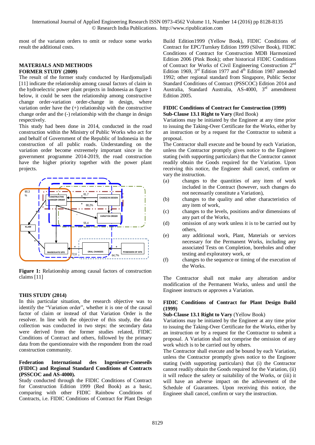International Journal of Applied Engineering Research ISSN 0973-4562 Volume 11, Number 14 (2016) pp 8128-8135 © Research India Publications. http://www.ripublication.com

most of the variaton orders to omit or reduce some works result the additional costs.

#### **MATERIALS AND METHODS FORMER STUDY (2009)**

The result of the former study conducted by Hardjomuljadi [11] indicate the relationship among causal factors of claim in the hydroelectric power plant projects in Indonesia as figure 1 below, it could be seen the relationship among constructive change order-variation order-change in design, where variation order have the (+) relationship with the constructive change order and the (-) relationship with the change in design respectively.

This study had been done in 2014, conducted in the road construction within the Ministry of Public Works who act for and behalf of Government of the Republic of Indonesia in the construction of all public roads. Understanding on the variation order become extreemely important since in the government programme 2014-2019, the road construction have the higher priority together with the power plant projects.



**Figure 1:** Relationship among causal factors of construction claims [11]

#### **THIS STUDY (2014)**

In this particular situation, the research objective was to identify the "Variation order", whether it is one of the causal factor of claim or instead of that Variation Order is the resolver. In line with the objective of this study, the data collection was conducted in two steps: the secondary data were derived from the former studies related, FIDIC Conditions of Contract and others, followed by the primary data from the questionnaire with the respondent from the road construction community.

#### **Federation International des Ingenieure-Coneseils (FIDIC) and Regional Standard Conditions of Contracts (PSSCOC and AS-4000).**

Study conducted through the FIDIC Conditions of Contract for Construction Edition 1999 (Red Book) as a basic, comparing with other FIDIC Rainbow Conditions of Contracts, i.e. FIDIC Conditions of Contract for Plant Design

Build Edition1999 (Yellow Book), FIDIC Conditions of Contract for EPC/Turnkey Edition 1999 (Silver Book), FIDIC Conditions of Contract for Construction MDB Harmonized Edition 2006 (Pink Book); other historical FIDIC Conditions of Contract for Works of Civil Engineering Construction  $2^{nd}$ Edition 1969,  $3<sup>rd</sup>$  Edition 1977 and  $4<sup>th</sup>$  Edition 1987 amended 1992; other regional standard from Singapore, Public Sector Standard Conditions of Contract (PSSCOC) Edition 2014 and Australia, Standard Australia, AS-4000, 3<sup>rd</sup> amendment Edition 2005.

#### **FIDIC Conditions of Contract for Construction (1999) Sub-Clause 13.1 Right to Vary** (Red Book)

Variations may be initiated by the Engineer at any time prior to issuing the Taking-Over Certificate for the Works, either by an instruction or by a request for the Contractor to submit a proposal.

The Contractor shall execute and be bound by each Variation, unless the Contractor promptly gives notice to the Engineer stating (with supporting particulars) that the Contractor cannot readily obtain the Goods required for the Variation. Upon receiving this notice, the Engineer shall cancel, confirm or vary the instruction.

- (a) changes to the quantities of any item of work included in the Contract (however, such changes do not necessarily constitute a Variation),
- (b) changes to the quality and other characteristics of any item of work,
- (c) changes to the levels, positions and/or dimensions of any part of the Works,
- (d) omission of any work unless it is to be carried out by others,
- (e) any additional work, Plant, Materials or services necessary for the Permanent Works, including any associated Tests on Completion, boreholes and other testing and exploratory work, or
- (f) changes to the sequence or timing of the execution of the Works.

The Contractor shall not make any alteration and/or modification of the Permanent Works, unless and until the Engineer instructs or approves a Variation.

#### **FIDIC Conditions of Contract for Plant Design Build (1999)**

#### **Sub-Clause 13.1 Right to Vary** (Yellow Book)

Variations may be initiated by the Engineer at any time prior to issuing the Taking-Over Certificate for the Works, either by an instruction or by a request for the Contractor to submit a proposal. A Variation shall not comprise the omission of any work which is to be carried out by others.

The Contractor shall execute and be bound by each Variation, unless the Contractor promptly gives notice to the Engineer stating (with supporting particulars) that (i) the Contractor cannot readily obtain the Goods required for the Variation, (ii) it will reduce the safety or suitability of the Works, or (iii) it will have an adverse impact on the achievement of the Schedule of Guarantees. Upon receiving this notice, the Engineer shall cancel, confirm or vary the instruction.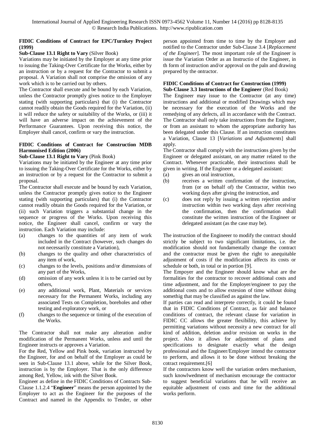#### **FIDIC Conditions of Contract for EPC/Turnkey Project (1999)**

#### **Sub-Clause 13.1 Right to Vary** (Silver Book)

Variations may be initiated by the Employer at any time prior to issuing the Taking-Over Certificate for the Works, either by an instruction or by a request for the Contractor to submit a proposal. A Variation shall not comprise the omission of any work which is to be carried out by others.

The Contractor shall execute and be bound by each Variation, unless the Contractor promptly gives notice to the Employer stating (with supporting particulars) that (i) the Contractor cannot readily obtain the Goods required for the Variation, (ii) it will reduce the safety or suitability of the Works, or (iii) it will have an adverse impact on the achievement of the Performance Guarantees. Upon receiving this notice, the Employer shall cancel, confirm or vary the instruction.

#### **FIDIC Conditions of Contract for Construction MDB Harmonised Edition (2006)**

#### **Sub-Clause 13.1 Right to Vary** (Pink Book)

Variations may be initiated by the Engineer at any time prior to issuing the Taking-Over Certificate for the Works, either by an instruction or by a request for the Contractor to submit a proposal.

The Contractor shall execute and be bound by each Variation, unless the Contractor promptly gives notice to the Engineer stating (with supporting particulars) that (i) the Contractor cannot readily obtain the Goods required for the Variation, or (ii) such Variation triggers a substantial change in the sequence or progress of the Works. Upon receiving this notice, the Engineer shall cancel, confirm or vary the instruction. Each Variation may include:

- (a) changes to the quantities of any item of work included in the Contract (however, such changes do not necessarily constitute a Variation),
- (b) changes to the quality and other characteristics of any item of work,
- (c) changes to the levels, positions and/or dimensions of any part of the Works,
- (d) omission of any work unless it is to be carried out by others,
- (e) any additional work, Plant, Materials or services necessary for the Permanent Works, including any associated Tests on Completion, boreholes and other testing and exploratory work, or
- (f) changes to the sequence or timing of the execution of the Works.

The Contractor shall not make any alteration and/or modification of the Permanent Works, unless and until the Engineer instructs or approves a Variation.

For the Red, Yellow and Pink book, variation instructed by the Engineer, for and on behalf of the Employer as could be seen in Sub-Clause 13.1 above, while for the Silver Book, instruction is by the Employer. That is the only difference among Red, Yellow, ink with the Silver Book.

Engineer as define in the FIDIC Conditions of Contracts Sub-Clause 1.1.2.4 "**Engineer**" means the person appointed by the Employer to act as the Engineer for the purposes of the Contract and named in the Appendix to Tender, or other

person appointed from time to time by the Employer and notified to the Contractor under Sub-Clause 3.4 [*Replacement of the Engineer*]. The most important role of the Engineer is issue the Variation Order as an Instructio of the Engineer, in th form of instruction and/or approval on the paln and drawing prepared by the ontractor.

#### **FIDIC Conditions of Contract for Construction (1999) Sub-Clause 3.3 Instructions of the Engineer** (Red Book)

The Engineer may issue to the Contractor (at any time) instructions and additional or modified Drawings which may be necessary for the execution of the Works and the remedying of any defects, all in accordance with the Contract. The Contractor shall only take instructions from the Engineer, or from an assistant to whom the appropriate authority has been delegated under this Clause. If an instruction constitutes a Variation, Clause 13 [*Variations and Adjustments*] shall apply.

The Contractor shall comply with the instructions given by the Engineer or delegated assistant, on any matter related to the Contract. Whenever practicable, their instructions shall be given in writing. If the Engineer or a delegated assistant:

- (a) gives an oral instruction,
- (b) receives a written confirmation of the instruction, from (or on behalf of) the Contractor, within two working days after giving the instruction, and
- (c) does not reply by issuing a written rejection and/or instruction within two working days after receiving the confirmation, then the confirmation shall constitute the written instruction of the Engineer or delegated assistant (as the case may be).

The instruction of the Engineeer to modify the contract should strictly be subject to two significant limitations, i.e. the modification should not fundamentally change the contract and the contractor must be given the right to anequitable adjustment of costs if the modification affects its costs or schedule or both, in total or in portion [9].

The Empoyer and the Engineer should know what are the formalities for the contractor to recover additional costs and time adjustment, and for the Employer/engineer to pay the additional costs and to allow extesion of time without doing somethig that may be classified as against the law.

If parties can read and interprete correctly, it could be found that in FIDIC Conditions pf Contract, as fair and balance conditions of contract, the relevant clause for variation in FIDIC CC allows the greater flexibility, this achieve by permitting variations without necessity a new contract for all kind of addition, deletion and/or revision on works in the project. Also it allows for adjustment of plans and specifications to designate exactly what the design professional and the Engineer/Employer intend the contractor to perform, and allows it to be done without breaking the cotract requirement.<sup>[6]</sup>

If the contractors know well the variation orders mechanism, such knowlwedment of mechanism encourage the contractor to suggest beneficial variations that he will receive an equitable adjustment of costs and time for the additional works perform.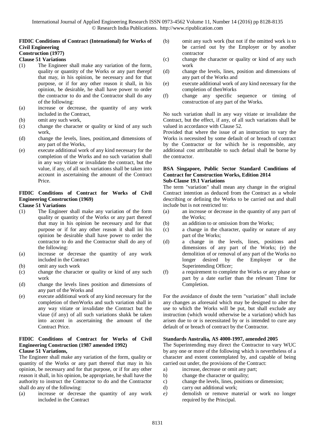#### **FIDIC Conditions of Contract (Intenational) for Works of Civil Engineering**

## **Construction (1977)**

- **Clause 51 Variations**
- (1) The Engineer shall make any variation of the form, quality or quantity of the Works or any part therepf that may, in his opinion, be necessary and for that purpose, or if for any other reason it shall, in his opinion, be desirable, he shall have power to order the contractor to do and the Contractor shall do any of the following:
- (a) increase or decrease, the quantity of any work included in the Contract,
- (b) omit any such work,
- (c) change the character or quality or kind of any such work,
- (d) change the levels, lines, position,and dimensions of any part of the Works,
- (e) execute additional work of any kind necessary for the completion of the Works and no such variation shall in any way vitiate or invalidate the contract, but the value, if any, of all such variations shall be taken into account in ascertaining the amount of the Contract Price.

#### **FIDIC Conditions of Contract for Works of Civil Engineering Construction (1969)**

#### **Clause 51 Variations**

- (1) The Engineer shall make any variation of the form quality or quantity of the Works or any part thereof that may in his opinion be necessary and for that purpose or if for any other reason it shall ini his opinion be desirable shall have power to order the contractor to do and the Contractor shall do any of the following:
- (a) increase or decresae the quantity of any work included in the Contract
- (b) omit any such work
- (c) change the character or quality or kind of any such work
- (d) change the levels lines position and dimensions of any part of the Works and
- (e) execute additional work of any kind necessary for the completion of thenWorks and such variation shall in any way vitiate or invalidate the Contract but the vlaue (if any) of all such variations shakk be taken into accont in ascertaining the amount of the Contract Price.

#### **FIDIC Conditions of Contract for Works of Civil Engineering Construction (1987 amended 1992) Clause 51 Variations,**

The Engineer shall make any variation of the form, quality or quantity of the Works or any part thereof that may in his opinion, be necessary and for that purpose, or if for any other reason it shall, in his opinion, be appropriate, he shall have the authority to instruct the Contractor to do and the Contractor shall do any of the following:

(a) increase or decresae the quantity of any work included in the Contract

- (b) omit any such work (but not if the omitted work is to be carried out by the Employer or by another contractor
- (c) change the character or quality or kind of any such work
- (d) change the levels, lines, position and dimensions of any part of the Works and
- (e) execute additional work of any kind necessary for the completion of thenWorks
- (f) change any specific sequence or timing of construction of any part of the Works.

No such variation shall in any way vitiate or invalidate the Contract, but the effect, if any, of all such variations shall be valued in accordance with Clause 52.

Provided that where the issue of an instruction to vary the Works is necessited by some default of or breach of contract by the Contractor or for wihich he is respomsible, any additional cost attributable to such defaul shall be borne by the contractor.

#### **BSA Singapore, Public Sector Standard Conditions of Contract for Construction Works, Edition 2014 Sub-Clause 19.1 Variations**

The term "variation" shall mean any change in the original Contract intention as deduced from the Contract as a whole describing or defining the Works to be carried out and shall include but is not restricted to:

- (a) an increase or decrease in the quantity of any part of the Works;
- (b) an addition to or omission from the Works;
- (c) a change in the character, quality or nature of any part of the Works;
- (d) a change in the levels, lines, positions and dimensions of any part of the Works; (e) the demolition of or removal of any part of the Works no longer desired by the Employer or the Superintending Officer;
- (f) a requirement to complete the Works or any phase or part by a date earlier than the relevant Time for Completion.

For the avoidance of doubt the term "variation" shall include any changes as aforesaid which may be designed to alter the use to which the Works will be put, but shall exclude any instruction (which would otherwise be a variation) which has arisen due to or is necessitated by or is intended to cure any default of or breach of contract by the Contractor.

#### **Standards Australia, AS 4000-1997, amended 2005**

The Superintending may direct the Contractor to vary WUC by any one or more of the following which is nevertheless of a character and extent contemplated by, and capable of being carried out under, the provisions of the Contract:

- a) increase, decrease or omit any part;
- b) change the character or quality;
- c) change the levels, lines, positions or dimension;
- d) carry out additional work;
- *e)* demolish or remove material or work no longer required by the Principal.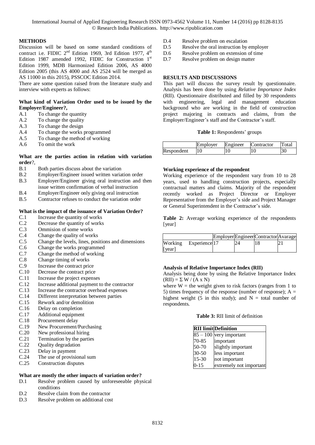#### **METHODS**

Discussion will be based on some standard conditions of contract i.e. FIDIC 2<sup>nd</sup> Edition 1969, 3rd Edition 1977, 4<sup>th</sup> Edition 1987 amended 1992, FIDIC for Construction 1st Edition 1999, MDB Harmonized Edition 2006, AS 4000 Edition 2005 (this AS 4000 and AS 2524 will be merged as AS 11000 in this 2015), PSSCOC Edition 2014.

There are some question raised from the literature study and interview with experts as follows:

#### **What kind of Variation Order used to be issued by the Employer/Engineer?,**

- A.1 To change the quantity
- A.2 To change the quality
- A.3 To change the design
- A.4 To change the works programmed
- A.5 To change the method of working<br>A.6 To omit the work
- To omit the work

#### **What are the parties action in relation with variation order**?,

- B.1 Both parties discuss about the variation
- B.2 Employer/Engineer issued written variation order
- B.3 Employer/Engineer giving oral instruction and then issue written confirmation of verbal instruction
- B.4 Employer/Engineer only giving oral instruction
- B.5 Contractor refuses to conduct the variation order

#### **What is the impact of the issuance of Variation Order?**

- C.1 Increase the quantity of works
- C.2 Decrease the quantity of works
- C.3 Ommision of some works
- C.4 Change the quality of works
- C.5 Change the levels, lines, positions and dimensions
- C.6 Change the works programmed
- C.7 Change the method of working
- C.8 Change timing of works
- C.9 Increase the contract price
- C.10 Decrease the contract price
- C.11 Increase the project expenses
- C.12 Increase additional payment to the contractor
- C.13 Increase the contractor overhead expenses
- C.14 Different interpretation between parties
- C.15 Rework and/or demolition
- C.16 Delay on completion
- C.17 Additional equipment
- C.18 Procurement delay
- C.19 New Procurement/Purchasing
- C.20 New professional hiring
- C.21 Termination by the parties
- C.22 Quality degradation
- C.23 Delay in payment
- C.24 The use of provisional sum
- C.25 Construction disputes

#### **What are mostly the other impacts of variation order?**

- D.1 Resolve problem caused by unforeseeable physical conditions
- D.2 Resolve claim from the contractor
- D.3 Resolve problem on additional cost
- D.4 Resolve problem on escalation
- D.5 Resolve the oral instruction by employer
- D.6 Resolve problem on extension of time
- D.7 Resolve problem on design matter

#### **RESULTS AND DISCUSSIONS**

This part will discuss the survey result by questionnaire. Analysis has been done by using *Relative Importance Index* (RII). Questionnaire distributed and filled by 30 respondents with engineering, legal and management education background who are working in the field of construction project majoring in contracts and claims, from the Employer/Engineer's staff and the Contractor's staff.

#### **Table 1:** Respondents' groups

|            | Emplover | Engineer | Contractor | `otal |
|------------|----------|----------|------------|-------|
| Respondent | 10       | 10       | 10         | 30    |

#### **Working experience of the respondent**

Working experience of the respondent vary from 10 to 28 years, used to handling construction projects, especially contractual matters and claims. Majority of the respondent recently worked as Project Director or Employer Representative from the Employer's side and Project Manager or General Superintendent in the Contractor's side.

**Table 2:** Average working experience of the respondents [year]

|        |                       |  | Employer Engineer Contractor Avarage |  |
|--------|-----------------------|--|--------------------------------------|--|
|        | Working Experience 17 |  |                                      |  |
| [year] |                       |  |                                      |  |

#### **Analysis of Relative Importance Index (RII)**

Analysis being done by using the Relative Importance Index  $(RII) = \Sigma W / (A x N)$ 

where  $W =$  the weight given to risk factors (ranges from 1 to 5) times frequency of the response (number of response);  $A =$ highest weight (5 in this study); and  $N =$  total number of respondents.

|        | <b>RII</b> limit Definition |
|--------|-----------------------------|
|        | $85 - 100$ very important   |
| 70-85  | important                   |
| 50-70  | slightly important          |
| 30-50  | less important              |
| 15-30  | not important               |
| $0-15$ | extremely not important     |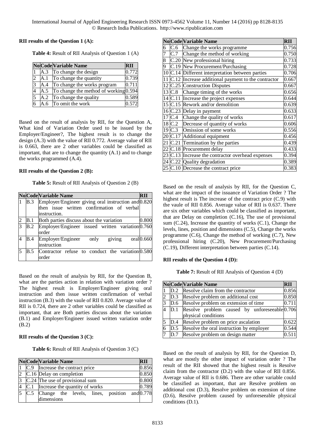#### **RII results of the Question 1 (A):**

**Table 4:** Result of RII Analysis of Question 1 (A)

|   |     | No Code Variable Name                 | RH    |
|---|-----|---------------------------------------|-------|
|   | A.3 | To change the design                  | 0.772 |
|   | A.1 | To change the quantity                | 0.739 |
| 3 | A.4 | To change the works program           | 0.711 |
|   | A.5 | To change the method of working 0.594 |       |
| 5 | A.2 | To change the quality                 | 0.589 |
|   | A.6 | To omit the work                      | 0.572 |

Based on the result of analysis by RII, for the Question A, What kind of Variation Order used to be issued by the Employer/Engineer?, The highest result is to change the design (A.3) with the value of RII 0.772. Average value of RII is 0.663, there are 2 other variables could be classified as important, that are to change the quantity  $(A,1)$  and to change the works programmed (A.4).

#### **RII results of the Question 2 (B):**

**Table 5:** Result of RII Analysis of Question 2 (B)

|   |     | No Code Variable Name                               | <b>RII</b>            |  |  |  |  |  |  |
|---|-----|-----------------------------------------------------|-----------------------|--|--|--|--|--|--|
|   | B.3 | Employer/Engineer giving oral instruction and 0.820 |                       |  |  |  |  |  |  |
|   |     | then issue written confirmation of verbal           |                       |  |  |  |  |  |  |
|   |     | instruction.                                        |                       |  |  |  |  |  |  |
|   | B.1 | Both parties discuss about the variation            | $0.800\,$             |  |  |  |  |  |  |
|   | B.2 | Employer/Engineer issued written variation 0.760    |                       |  |  |  |  |  |  |
|   |     | order                                               |                       |  |  |  |  |  |  |
|   | B.4 | giving<br>Employer/Engineer only                    | oral <sub>0.660</sub> |  |  |  |  |  |  |
|   |     | instruction                                         |                       |  |  |  |  |  |  |
| 5 | B.5 | Contractor refuse to conduct the variation 0.580    |                       |  |  |  |  |  |  |
|   |     | order                                               |                       |  |  |  |  |  |  |

Based on the result of analysis by RII, for the Question B, what are the parties action in relation with variation order ? The highest result is Employer/Engineer giving oral instruction and then issue written confirmation of verbal instruction (B.3) with the vaule of RII 0.820. Average value of RII is 0.724, there are 2 other variables could be classified as important, that are Both parties discuss about the variation (B.1) and Employer/Engineer issued written variation order (B.2)

#### **RII results of the Question 3 (C):**

Table 6: Result of RII Analysis of Question 3 (C)

|     | No Code Variable Name<br><b>RII</b>                        |       |  |  |  |  |  |
|-----|------------------------------------------------------------|-------|--|--|--|--|--|
|     | 0.856<br>$\vert$ 1 $\vert$ C.9 Increase the contract price |       |  |  |  |  |  |
|     | $\vert$ 2 $\vert$ C.16 $\vert$ Delay on completion         | 0.850 |  |  |  |  |  |
|     | 0.800<br>$\vert$ 3 C.24 The use of provisional sum         |       |  |  |  |  |  |
| C.1 | 0.789<br>Increase the quantity of works                    |       |  |  |  |  |  |
|     | 5 C.5 Change the levels, lines, position and 0.778         |       |  |  |  |  |  |
|     | dimensions                                                 |       |  |  |  |  |  |

|   |        | <b>NoCode</b> Variable Name                               | <b>RII</b> |
|---|--------|-----------------------------------------------------------|------------|
| 6 | C.6    | Change the works programme                                | 0.756      |
| 7 |        | C.7 Change the method of working                          | 0.750      |
| 8 |        | C.20 New professional hiring                              | 0.733      |
| 9 |        | C.19 New Procurement/Purchasing                           | 0.728      |
|   |        | 10 C.14 Different interpretation between parties          | 0.706      |
|   |        | 11 C.12 Increase additional payment to the contractor     | 0.667      |
|   |        | 12 C.25 Construction Disputes                             | 0.667      |
|   | 13 C.8 | Change timing of the works                                | 0.656      |
|   |        | 14 $C.11$ Increase the project expenses                   | 0.644      |
|   |        | 15 C.15 Rework and/or demolition                          | 0.639      |
|   |        | 16 $C.23$ Delay in payment                                | 0.633      |
|   | 17 C.4 | Change the quality of works                               | 0.617      |
|   | 18 C.2 | Decrease of quantity of works                             | 0.606      |
|   |        | 19 C.3 Omission of some works                             | 0.556      |
|   |        | $20$ C.17 Additional equipment                            | 0.456      |
|   |        | 21 C.21 Termination by the parties                        | 0.439      |
|   |        | 22 C.18 Procurement delay                                 | 0.433      |
|   |        | 23 $\vert$ C.13 Increase the contractor overhead expenses | 0.394      |
|   |        | 24 $C.22$ Quality degradation                             | 0.389      |
|   |        | 25 $C.10$ Decrease the contract price                     | 0.383      |

Based on the result of analysis by RII, for the Question C, what are the impact of the issuance of Variation Order ? The highest result is The increase of the contract price (C.9) with the vaule of RII 0.856. Average value of RII is 0.637. There are six other variables which could be classified as important, that are Delay on completion (C.16), The use of provisional sum (C.24), Increase the quantity of works (C.1), Change the levels, lines, position and dimensions (C.5), Change the works programme (C.6), Change the method of working (C.7), New professional hiring (C.20), New Procurement/Purchasing (C.19), Different interpretation between parties (C.14).

#### **RII results of the Question 4 (D):**

**Table 7:** Result of RII Analysis of Question 4 (D)

|   |     | NoCode Variable Name                                       | <b>RII</b> |
|---|-----|------------------------------------------------------------|------------|
|   | D.2 | Resolve claim from the contractor                          | 0.856      |
|   | D.3 | Resolve problem on additional cost                         | 0.850      |
| 3 | D.6 | Resolve problem on extension of time                       | 0.711      |
|   | D.1 | Resolve problem caused by unforeseeable <sup>[0.706]</sup> |            |
|   |     | physical conditions                                        |            |
|   | D.4 | Resolve problem on price ascalation                        | 0.622      |
| 6 | D.5 | Resolve the oral instruction by employer                   | 0.544      |
|   | D.7 | Resolve problem on design matter                           | 0.511      |

Based on the result of analysis by RII, for the Question D, what are mostly the other impact of variation order ? The result of the RII showed that the highest result is Resolve claim from the contractor (D.2) with the value of RII 0.856. Average value of RII is 0.686. There are other variable could be classified as important, that are Resolve problem on additional cost (D.3), Resolve problem on extension of time (D.6), Resolve problem caused by unforeseeable physical conditions (D.1).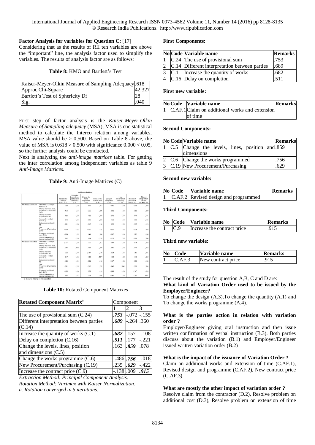#### **Factor Analysis for variables for Question C:** [17]

Considering that as the results of RII ten variables are above the "important" line, the analysis factor used to simplify the variables. The results of analysis factor are as follows:

#### **Table 8:** KMO and Bartlett's Test

| Kaiser-Meyer-Olkin Measure of Sampling Adequacy.618 |        |
|-----------------------------------------------------|--------|
| Approc.Chi-Square                                   | 42.327 |
| Bartlett's Test of Sphericity Df                    | 28     |
| Sig.                                                | .040   |

First step of factor analysis is the *Kaiser-Meyer-Olkin Measure of Sampling adequacy* (MSA), MSA is one statistical method to calculate the Interco relation among variables, MSA value should be > 0,500. Based on Table 8 above, the value of MSA is  $0.618 > 0.500$  with significance  $0.000 < 0.05$ , so the further analysis could be conducted.

Next is analyzing the *anti-image matrices* table. For getting the inter correlation among independent variables as table 9 *Anti-Image Matrices*.

**Table 9:** Anti-Image Matrices (C)

|                        |                                                               | Increase the<br>quantity of<br>works (C.1) | Change the<br>levels, lines,<br>position and<br>dimensions<br>(C.5) | Change the<br>works<br>programme<br>(C.6) | Increase the<br>contract price<br>(C.9) | Delay on<br>completion<br>(C.16) | New<br>Procurement<br>Purchasing<br>(C.19) | The use of<br>provisional<br>sum (C.24) | Different<br>interpretation<br>between<br>parties (C.14) |
|------------------------|---------------------------------------------------------------|--------------------------------------------|---------------------------------------------------------------------|-------------------------------------------|-----------------------------------------|----------------------------------|--------------------------------------------|-----------------------------------------|----------------------------------------------------------|
| Anti-image Covariance  | increase the quantity of<br>works (C.1)                       | .719                                       | $-179$                                                              | .186                                      | .013                                    | $-081$                           | $-139$                                     | $-094$                                  | .002                                                     |
|                        | Change the levels, lines,<br>position and dimensions<br>(C.5) | $-179$                                     | .634                                                                | $-259$                                    | $-021$                                  | $-060$                           | $-087$                                     | $-059$                                  | $-048$                                                   |
|                        | Change the works<br>programme (C.6)                           | .186                                       | $-259$                                                              | .466                                      | .068                                    | $-015$                           | $-176$                                     | 141                                     | ,184                                                     |
|                        | Increase the contract<br>price (C.9)                          | ,013                                       | $-0.21$                                                             | .068                                      | ,829                                    | .140                             | .187                                       | .08B                                    | .155                                                     |
|                        | Delay on completion (C.<br>161                                | $-081$                                     | $-060$                                                              | $-.015$                                   | ,140                                    | ,858                             | $-.032$                                    | .067                                    | $-123$                                                   |
|                        | New<br>ProcurementPurchasing<br>(C.19)                        | $-139$                                     | $-.087$                                                             | $-176$                                    | ,187                                    | $-0.32$                          | .667                                       | $-134$                                  | .003                                                     |
|                        | The use of provisional<br>sum (C.24)                          | $-094$                                     | $-059$                                                              | ,141                                      | .088                                    | $-067$                           | $-134$                                     | .673                                    | .166                                                     |
|                        | Different interpretation<br>between parties (C.14)            | .002                                       | $-048$                                                              | .184                                      | $-155$                                  | $-123$                           | .003                                       | $-166$                                  | .690                                                     |
| Anti-image Correlation | increase the quantity of<br>works (C.1)                       | $.627*$                                    | $-265$                                                              | 322                                       | .017                                    | $-103$                           | $-201$                                     | $-136$                                  | .002                                                     |
|                        | Change the levels, lines.<br>position and dimensions<br>(C.5) | $-265$                                     | $.568*$                                                             | $-476$                                    | $-0.29$                                 | $-081$                           | $-133$                                     | $-090$                                  | $-073$                                                   |
|                        | Change the works<br>programme (C.6)                           | 322                                        | $-476$                                                              | .636 <sup>4</sup>                         | .109                                    | $-024$                           | $-316$                                     | ,253                                    | ,324                                                     |
|                        | Increase the contract<br>price (C.9)                          | ,017                                       | $-0.29$                                                             | $-109$                                    | 567*                                    | .166                             | .262                                       | ,118                                    | $-205$                                                   |
|                        | Delay on completion (C.<br>161                                | $-103$                                     | $-081$                                                              | $-0.24$                                   | ,166                                    | $758$ <sup>*</sup>               | $-043$                                     | $-080$                                  | $-160$                                                   |
|                        | New<br>ProcurementPurchasing<br>(C.19)                        | $-201$                                     | $-133$                                                              | $-316$                                    | .252                                    | $-043$                           | .641 <sup>a</sup>                          | $-200$                                  | .004                                                     |
|                        | The use of provisional<br>sum (C.24)                          | $-136$                                     | $-090$                                                              | .253                                      | .118                                    | $-088$                           | $-200$                                     | .716 <sup>3</sup>                       | $-243$                                                   |
|                        | Different interpretation<br>between parties (C.14)            | .002                                       | $-073$                                                              | .324                                      | $-205$                                  | $-160$                           | .004                                       | $-243$                                  | $.655*$                                                  |

**Table 10:** Rotated Component Matrixes

| <b>Rotated Component Matrix<sup>a</sup></b> | Component    |                |                 |  |
|---------------------------------------------|--------------|----------------|-----------------|--|
|                                             |              |                | 3               |  |
| The use of provisional sum (C.24)           | .753         |                | $-.072$ $-.155$ |  |
| Different interpretation between parties    | .689         | $-.264$ $.360$ |                 |  |
| (C.14)                                      |              |                |                 |  |
| Increase the quantity of works $(C.1)$      | .682         | .157           | $-.108$         |  |
| Delay on completion (C.16)                  | .511         | .177           | $-.221$         |  |
| Change the levels, lines, position          | .163         | .859           | .078            |  |
| and dimensions (C.5)                        |              |                |                 |  |
| Change the works programme $(C.6)$          | $-.486$ .756 |                | $-.018$         |  |
| New Procurement/Purchasing (C.19)           | .235         | .629           | $-.422$         |  |
| Increase the contract price (C.9)           | -.138        | .009           | .915            |  |

*Extraction Method: Principal Component Analysis.*

*Rotation Method: Varimax with Kaiser Normalization. a. Rotation converged in 5 iterations.*

#### **First Components:**

|  | No Code Variable name                         | <b>Remarks</b> |
|--|-----------------------------------------------|----------------|
|  | C.24 The use of provisional sum               | .753           |
|  | C.14 Different interpretation between parties | .689           |
|  | Increase the quantity of works                | .682           |
|  | C.16 Delay on completion                      |                |

#### **First new variable:**

|  | NoCode Variable name                           | <b>Remarks</b> |
|--|------------------------------------------------|----------------|
|  | C.AF.1 Claim on additional works and extension |                |
|  | lof time                                       |                |

#### **Second Components:**

|  | No Code Variable name                                          | <b>Remarks</b> |
|--|----------------------------------------------------------------|----------------|
|  | 1 C.5 Change the levels, lines, position and 859<br>dimensions |                |
|  | C.6 Change the works programmed                                | .756           |
|  | C.19 New Procurement/Purchasing                                |                |

#### **Second new variable:**

|  | No Code Variable name                         | <b>Remarks</b> |
|--|-----------------------------------------------|----------------|
|  | <b>I</b> C.AF.2 Revised design and programmed |                |

#### **Third Components:**

|  | No Code Variable name       | Remarks |
|--|-----------------------------|---------|
|  | Increase the contract price | .915    |

#### **Third new variable:**

| $\bf No$ | <b>Code</b> | <b>Variable name</b> | Remarks |
|----------|-------------|----------------------|---------|
|          | C.AF.3      | New contract price   | .915    |

The result of the study for question A,B, C and D are: **What kind of Variation Order used to be issued by the Employer/Engineer?**

To change the design (A.3),To change the quantity (A.1) and To change the works programme (A.4).

#### **What is the parties action in relation with variation order ?**

Employer/Engineer giving oral instruction and then issue written confirmation of verbal instruction (B.3). Both parties discuss about the variation (B.1) and Employer/Engineer issued written variation order (B.2)

#### **What is the impact of the issuance of Variation Order ?**

Claim on additional works and extension of time (C.AF.1), Revised design and programme (C.AF.2), New contract price (C.AF.3).

#### **What are mostly the other impact of variation order ?**

Resolve claim from the contractor (D.2), Resolve problem on additional cost (D.3), Resolve problem on extension of time